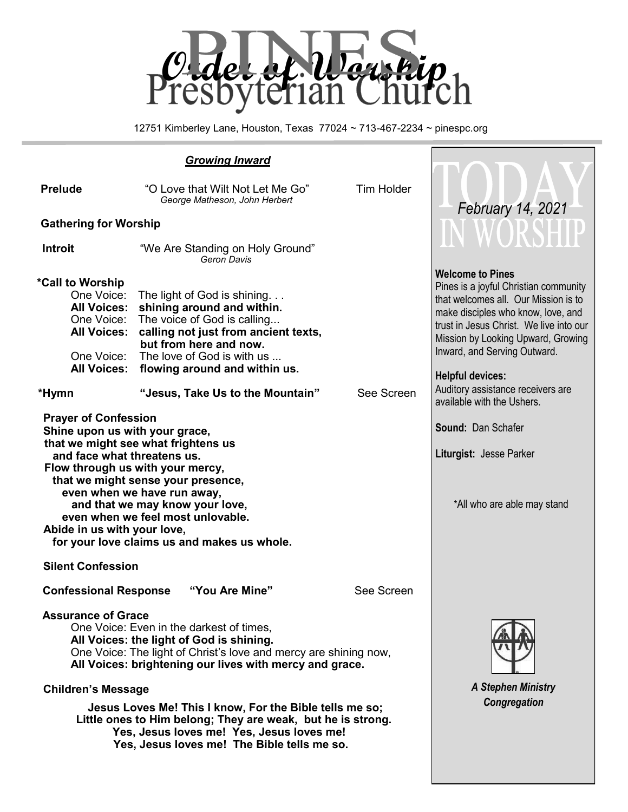

12751 Kimberley Lane, Houston, Texas 77024 ~ 713-467-2234 ~ pinespc.org

| <b>Prelude</b>                                                                                                                                                                                                                                                                                                                                                                                                                                                                                      | "O Love that Wilt Not Let Me Go"<br>George Matheson, John Herbert                                                                                                                                                         | <b>Tim Holder</b> | February 14, 2021                                                                                                                                                                                                                                                                          |  |
|-----------------------------------------------------------------------------------------------------------------------------------------------------------------------------------------------------------------------------------------------------------------------------------------------------------------------------------------------------------------------------------------------------------------------------------------------------------------------------------------------------|---------------------------------------------------------------------------------------------------------------------------------------------------------------------------------------------------------------------------|-------------------|--------------------------------------------------------------------------------------------------------------------------------------------------------------------------------------------------------------------------------------------------------------------------------------------|--|
| <b>Gathering for Worship</b>                                                                                                                                                                                                                                                                                                                                                                                                                                                                        | IN WORSHU                                                                                                                                                                                                                 |                   |                                                                                                                                                                                                                                                                                            |  |
| <b>Introit</b>                                                                                                                                                                                                                                                                                                                                                                                                                                                                                      | "We Are Standing on Holy Ground"<br>Geron Davis                                                                                                                                                                           |                   |                                                                                                                                                                                                                                                                                            |  |
| *Call to Worship<br>One Voice:<br><b>All Voices:</b><br>One Voice:<br><b>All Voices:</b><br>One Voice:<br><b>All Voices:</b>                                                                                                                                                                                                                                                                                                                                                                        | The light of God is shining<br>shining around and within.<br>The voice of God is calling<br>calling not just from ancient texts,<br>but from here and now.<br>The love of God is with us<br>flowing around and within us. |                   | <b>Welcome to Pines</b><br>Pines is a joyful Christian community<br>that welcomes all. Our Mission is to<br>make disciples who know, love, and<br>trust in Jesus Christ. We live into our<br>Mission by Looking Upward, Growing<br>Inward, and Serving Outward.<br><b>Helpful devices:</b> |  |
| *Hymn                                                                                                                                                                                                                                                                                                                                                                                                                                                                                               | "Jesus, Take Us to the Mountain"                                                                                                                                                                                          | See Screen        | Auditory assistance receivers are<br>available with the Ushers.                                                                                                                                                                                                                            |  |
| <b>Prayer of Confession</b><br>Shine upon us with your grace,<br>that we might see what frightens us<br>and face what threatens us.<br>Flow through us with your mercy,<br>that we might sense your presence,<br>even when we have run away,<br>and that we may know your love,<br>even when we feel most unlovable.<br>Abide in us with your love,<br>for your love claims us and makes us whole.<br><b>Silent Confession</b>                                                                      | <b>Sound: Dan Schafer</b><br>Liturgist: Jesse Parker<br>*All who are able may stand                                                                                                                                       |                   |                                                                                                                                                                                                                                                                                            |  |
| <b>Confessional Response</b>                                                                                                                                                                                                                                                                                                                                                                                                                                                                        | "You Are Mine"                                                                                                                                                                                                            | See Screen        |                                                                                                                                                                                                                                                                                            |  |
| <b>Assurance of Grace</b><br>One Voice: Even in the darkest of times,<br>All Voices: the light of God is shining.<br>One Voice: The light of Christ's love and mercy are shining now,<br>All Voices: brightening our lives with mercy and grace.<br><b>Children's Message</b><br>Jesus Loves Me! This I know, For the Bible tells me so;<br>Little ones to Him belong; They are weak, but he is strong.<br>Yes, Jesus loves me! Yes, Jesus loves me!<br>Yes, Jesus loves me! The Bible tells me so. | <b>A Stephen Ministry</b><br>Congregation                                                                                                                                                                                 |                   |                                                                                                                                                                                                                                                                                            |  |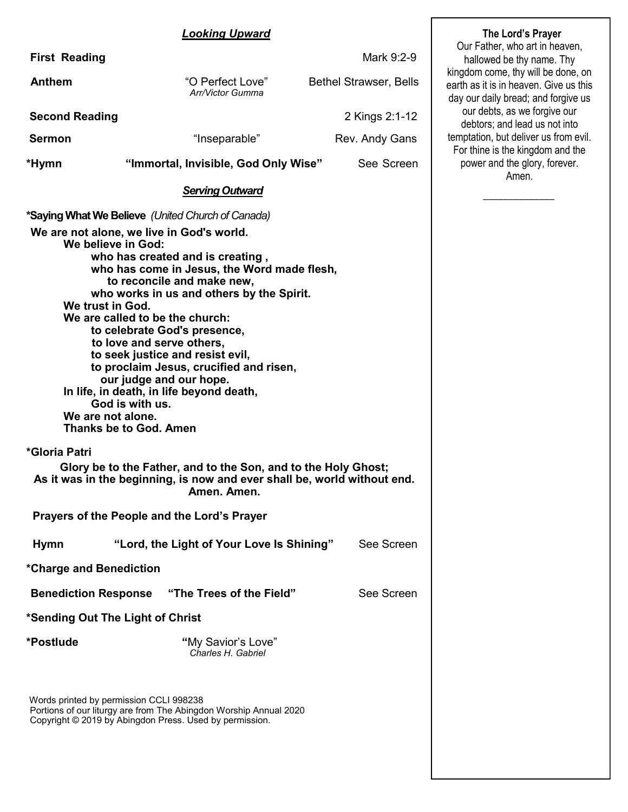#### *Looking Upward*

| <b>First Reading</b>        |                                                                                                                                                                                                                                                                                                                                                                                                                                                                                                                                                                                  | Mark 9:2-9                    | Our Father, who art in heaven,<br>hallowed be thy name. Thy                                                         |  |  |
|-----------------------------|----------------------------------------------------------------------------------------------------------------------------------------------------------------------------------------------------------------------------------------------------------------------------------------------------------------------------------------------------------------------------------------------------------------------------------------------------------------------------------------------------------------------------------------------------------------------------------|-------------------------------|---------------------------------------------------------------------------------------------------------------------|--|--|
| <b>Anthem</b>               | "O Perfect Love"<br>Arr/Victor Gumma                                                                                                                                                                                                                                                                                                                                                                                                                                                                                                                                             | <b>Bethel Strawser, Bells</b> | kingdom come, thy will be done, on<br>earth as it is in heaven. Give us this<br>day our daily bread; and forgive us |  |  |
| <b>Second Reading</b>       |                                                                                                                                                                                                                                                                                                                                                                                                                                                                                                                                                                                  | 2 Kings 2:1-12                | our debts, as we forgive our<br>debtors; and lead us not into                                                       |  |  |
| <b>Sermon</b>               | "Inseparable"                                                                                                                                                                                                                                                                                                                                                                                                                                                                                                                                                                    | Rev. Andy Gans                | temptation, but deliver us from evil.<br>For thine is the kingdom and the                                           |  |  |
| *Hymn                       | "Immortal, Invisible, God Only Wise"                                                                                                                                                                                                                                                                                                                                                                                                                                                                                                                                             | See Screen                    | power and the glory, forever.<br>Amen.                                                                              |  |  |
|                             | <b>Serving Outward</b>                                                                                                                                                                                                                                                                                                                                                                                                                                                                                                                                                           |                               |                                                                                                                     |  |  |
|                             | *Saying What We Believe (United Church of Canada)                                                                                                                                                                                                                                                                                                                                                                                                                                                                                                                                |                               |                                                                                                                     |  |  |
|                             | We are not alone, we live in God's world.<br>We believe in God:<br>who has created and is creating,<br>who has come in Jesus, the Word made flesh,<br>to reconcile and make new,<br>who works in us and others by the Spirit.<br>We trust in God.<br>We are called to be the church:<br>to celebrate God's presence,<br>to love and serve others,<br>to seek justice and resist evil,<br>to proclaim Jesus, crucified and risen,<br>our judge and our hope.<br>In life, in death, in life beyond death,<br>God is with us.<br>We are not alone.<br><b>Thanks be to God. Amen</b> |                               |                                                                                                                     |  |  |
| *Gloria Patri               | Glory be to the Father, and to the Son, and to the Holy Ghost;<br>As it was in the beginning, is now and ever shall be, world without end.<br>Amen. Amen.                                                                                                                                                                                                                                                                                                                                                                                                                        |                               |                                                                                                                     |  |  |
|                             | Prayers of the People and the Lord's Prayer                                                                                                                                                                                                                                                                                                                                                                                                                                                                                                                                      |                               |                                                                                                                     |  |  |
| <b>Hymn</b>                 | "Lord, the Light of Your Love Is Shining"                                                                                                                                                                                                                                                                                                                                                                                                                                                                                                                                        | See Screen                    |                                                                                                                     |  |  |
| *Charge and Benediction     |                                                                                                                                                                                                                                                                                                                                                                                                                                                                                                                                                                                  |                               |                                                                                                                     |  |  |
| <b>Benediction Response</b> | "The Trees of the Field"                                                                                                                                                                                                                                                                                                                                                                                                                                                                                                                                                         | See Screen                    |                                                                                                                     |  |  |
|                             | *Sending Out The Light of Christ                                                                                                                                                                                                                                                                                                                                                                                                                                                                                                                                                 |                               |                                                                                                                     |  |  |
| *Postlude                   | "My Savior's Love"<br>Charles H. Gabriel                                                                                                                                                                                                                                                                                                                                                                                                                                                                                                                                         |                               |                                                                                                                     |  |  |
|                             | Words printed by permission CCLI 998238<br>Portions of our liturgy are from The Abingdon Worship Annual 2020<br>Copyright © 2019 by Abingdon Press. Used by permission.                                                                                                                                                                                                                                                                                                                                                                                                          |                               |                                                                                                                     |  |  |

**The Lord's Prayer**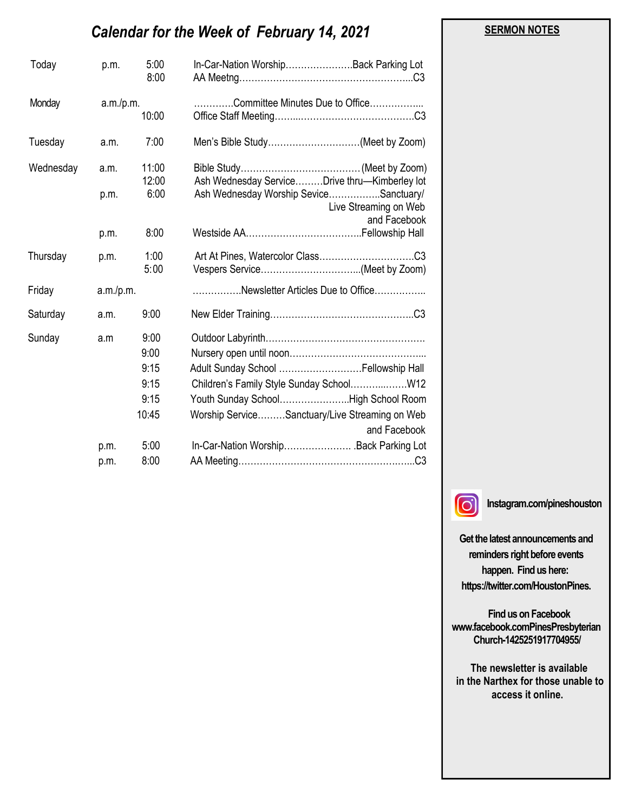# *Calendar for the Week of February 14, 2021*

| Today     | p.m.      | 5:00<br>8:00   | In-Car-Nation WorshipBack Parking Lot                                           |
|-----------|-----------|----------------|---------------------------------------------------------------------------------|
| Monday    | a.m./p.m. | 10:00          | Committee Minutes Due to Office                                                 |
| Tuesday   | a.m.      | 7:00           | Men's Bible Study(Meet by Zoom)                                                 |
| Wednesday | a.m.      | 11:00<br>12:00 | Ash Wednesday ServiceDrive thru-Kimberley lot                                   |
|           | p.m.      | 6:00           | Ash Wednesday Worship SeviceSanctuary/<br>Live Streaming on Web<br>and Facebook |
|           | p.m.      | 8:00           |                                                                                 |
| Thursday  | p.m.      | 1:00<br>5:00   |                                                                                 |
| Friday    | a.m./p.m. |                | Newsletter Articles Due to Office                                               |
| Saturday  | a.m.      | 9:00           |                                                                                 |
| Sunday    | a.m       | 9:00           |                                                                                 |
|           |           | 9:00           |                                                                                 |
|           |           | 9:15           | Adult Sunday School  Fellowship Hall                                            |
|           |           | 9:15           | Children's Family Style Sunday SchoolW12                                        |
|           |           | 9:15           | Youth Sunday SchoolHigh School Room                                             |
|           |           | 10:45          | Worship ServiceSanctuary/Live Streaming on Web<br>and Facebook                  |
|           | p.m.      | 5:00           | In-Car-Nation WorshipBack Parking Lot                                           |
|           | p.m.      | 8:00           |                                                                                 |



**Instagram.com/pineshouston**

**Get the latest announcements and reminders right before events happen. Find us here: https://twitter.com/HoustonPines.** 

 **Find us on Facebook www.facebook.comPinesPresbyterian Church-1425251917704955/**

 **The newsletter is available in the Narthex for those unable to access it online.**

#### **SERMON NOTES**